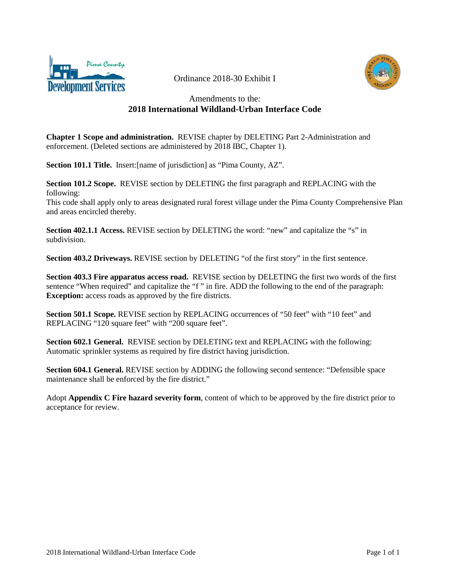

Ordinance 2018-30 Exhibit I



#### Amendments to the: **2018 International Wildland-Urban Interface Code**

**Chapter 1 Scope and administration.** REVISE chapter by DELETING Part 2-Administration and enforcement. (Deleted sections are administered by 2018 IBC, Chapter 1).

**Section 101.1 Title.** Insert: [name of jurisdiction] as "Pima County, AZ".

**Section 101.2 Scope.** REVISE section by DELETING the first paragraph and REPLACING with the following:

This code shall apply only to areas designated rural forest village under the Pima County Comprehensive Plan and areas encircled thereby.

**Section 402.1.1 Access.** REVISE section by DELETING the word: "new" and capitalize the "s" in subdivision.

**Section 403.2 Driveways.** REVISE section by DELETING "of the first story" in the first sentence.

**Section 403.3 Fire apparatus access road.** REVISE section by DELETING the first two words of the first sentence "When required" and capitalize the "f " in fire. ADD the following to the end of the paragraph: **Exception:** access roads as approved by the fire districts.

**Section 501.1 Scope.** REVISE section by REPLACING occurrences of "50 feet" with "10 feet" and REPLACING "120 square feet" with "200 square feet".

**Section 602.1 General.** REVISE section by DELETING text and REPLACING with the following: Automatic sprinkler systems as required by fire district having jurisdiction.

**Section 604.1 General.** REVISE section by ADDING the following second sentence: "Defensible space maintenance shall be enforced by the fire district."

Adopt **Appendix C Fire hazard severity form**, content of which to be approved by the fire district prior to acceptance for review.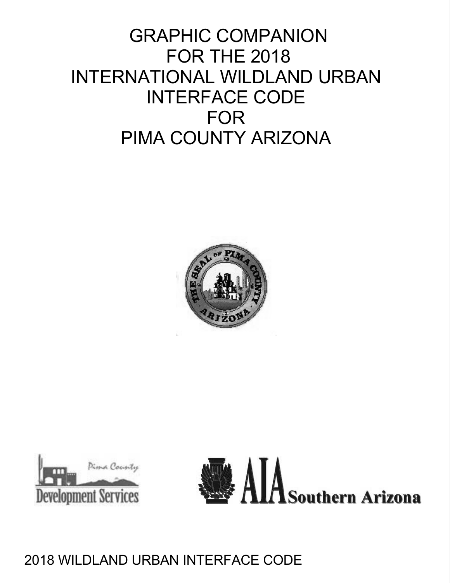# GRAPHIC COMPANION FOR THE 2018 INTERNATIONAL WILDLAND URBAN INTERFACE CODE FOR PIMA COUNTY ARIZONA





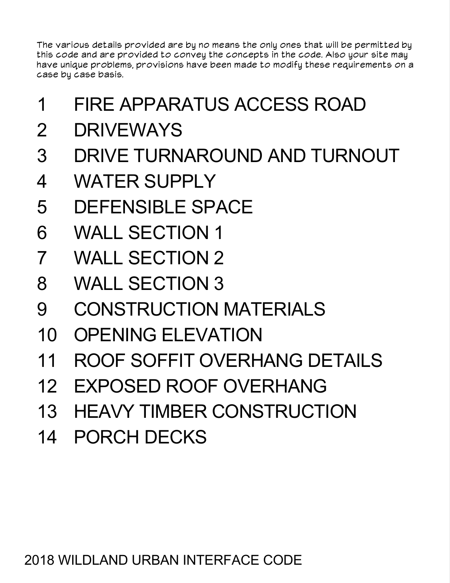The various details provided are by no means the only ones that will be permitted by this code and are provided to convey the concepts in the code. Also your site may have unique problems, provisions have been made to modify these requirements on a case by case basis.

- 1 FIRE APPARATUS ACCESS ROAD
- 2 DRIVEWAYS
- 3 DRIVE TURNAROUND AND TURNOUT
- 4 WATER SUPPLY
- 5 DEFENSIBLE SPACE
- 6 WALL SECTION 1
- 7 WALL SECTION 2
- 8 WALL SECTION 3
- 9 CONSTRUCTION MATERIALS
- 10 OPENING ELEVATION
- 11 ROOF SOFFIT OVERHANG DETAILS
- 12 EXPOSED ROOF OVERHANG
- 13 HEAVY TIMBER CONSTRUCTION
- 14 PORCH DECKS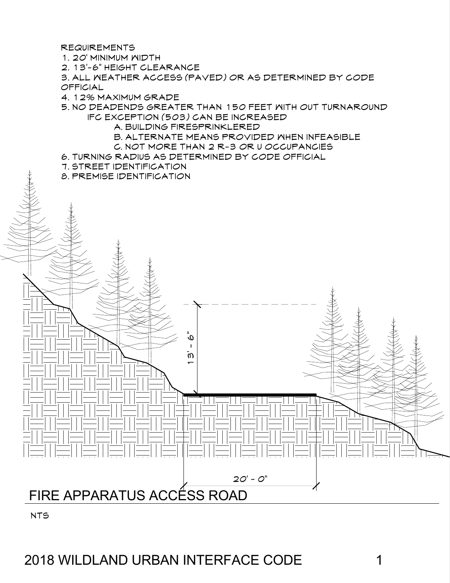REQUIREMENTS

1. 20' MINIMUM WIDTH

2. 13'-6" HEIGHT CLEARANCE

3. ALL WEATHER ACCESS (PAVED) OR AS DETERMINED BY CODE OFFICIAL

4. 12% MAXIMUM GRADE

5. NO DEADENDS GREATER THAN 150 FEET WITH OUT TURNAROUND IFC EXCEPTION (503) CAN BE INCREASED

A. BUILDING FIRESPRINKLERED

13' - 6"

B. ALTERNATE MEANS PROVIDED WHEN INFEASIBLE

 $2O' - O''$ 

- C. NOT MORE THAN 2 R-3 OR U OCCUPANCIES
- 6. TURNING RADIUS AS DETERMINED BY CODE OFFICIAL
- 7. STREET IDENTIFICATION

8. PREMISE IDENTIFICATION



2018 WILDLAND URBAN INTERFACE CODE 1

FIRE APPARATUS ACCÉSS ROAD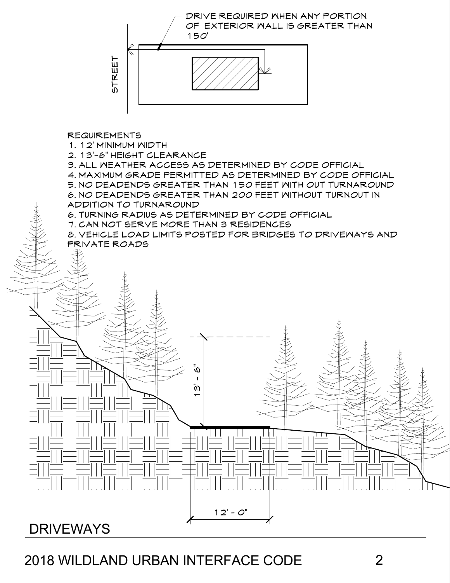# DRIVEWAYS



2

DRIVE REQUIRED WHEN ANY PORTION OF EXTERIOR WALL IS GREATER THAN

150'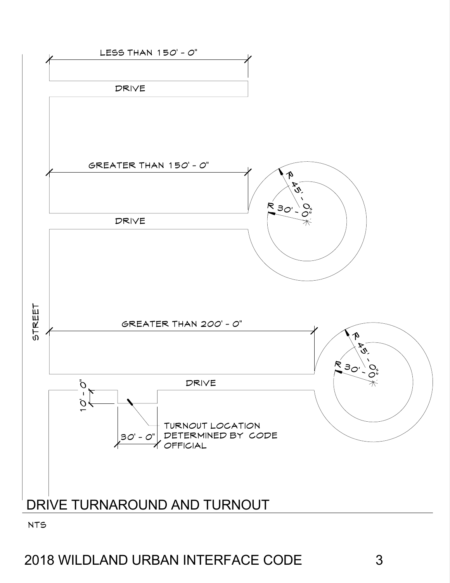

NTS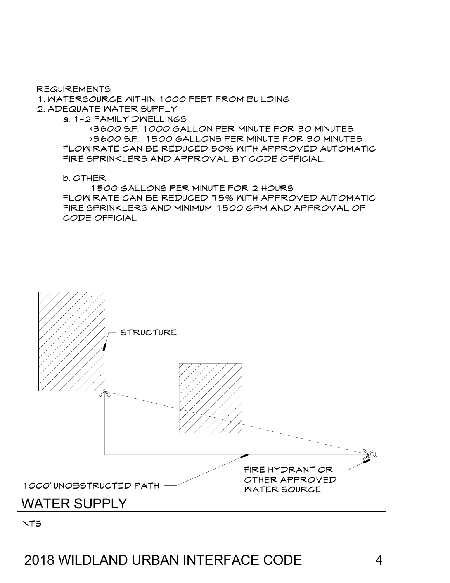NTS

# 1000' UNOBSTRUCTED PATH FIRE HYDRANT OR OTHER APPROVED WATER SOURCE WATER SUPPLY



b. OTHER 1500 GALLONS PER MINUTE FOR 2 HOURS FLOW RATE CAN BE REDUCED 75% WITH APPROVED AUTOMATIC FIRE SPRINKLERS AND MINIMUM 1500 GPM AND APPROVAL OF CODE OFFICIAL

<3600 S.F. 1000 GALLON PER MINUTE FOR 30 MINUTES >3600 S.F. 1500 GALLONS PER MINUTE FOR 30 MINUTES FLOW RATE CAN BE REDUCED 50% WITH APPROVED AUTOMATIC

FIRE SPRINKLERS AND APPROVAL BY CODE OFFICIAL.

REQUIREMENTS

1. WATERSOURCE WITHIN 1000 FEET FROM BUILDING

2. ADEQUATE WATER SUPPLY

a. 1-2 FAMILY DWELLINGS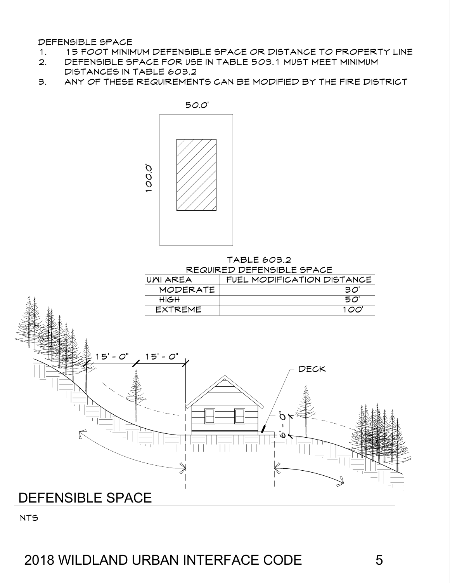DEFENSIBLE SPACE

- 1. 15 FOOT MINIMUM DEFENSIBLE SPACE OR DISTANCE TO PROPERTY LINE
- 2. DEFENSIBLE SPACE FOR USE IN TABLE 503.1 MUST MEET MINIMUM DISTANCES IN TABLE 603.2
- 3. ANY OF THESE REQUIREMENTS CAN BE MODIFIED BY THE FIRE DISTRICT



#### TABLE 603.2 REQUIRED DEFENSIBLE SPACE

|                         | UNI AREA        | FUEL MODIFICATION DISTANCE |
|-------------------------|-----------------|----------------------------|
|                         | <b>MODERATE</b> | 30'                        |
|                         | HIGH            | $50^{\circ}$               |
|                         | <b>EXTREME</b>  | 100'                       |
|                         |                 |                            |
|                         |                 |                            |
|                         |                 |                            |
| $15' - 0''$ $15' - 0''$ |                 |                            |
|                         |                 |                            |
| Æ.                      |                 | ----                       |



### 2018 WILDLAND URBAN INTERFACE CODE 5

NTS

DEFENSIBLE SPACE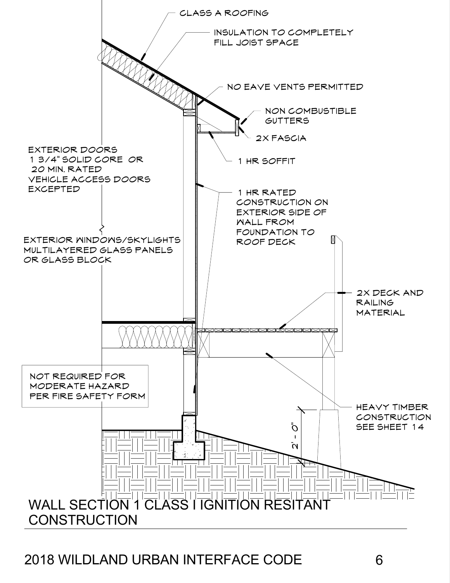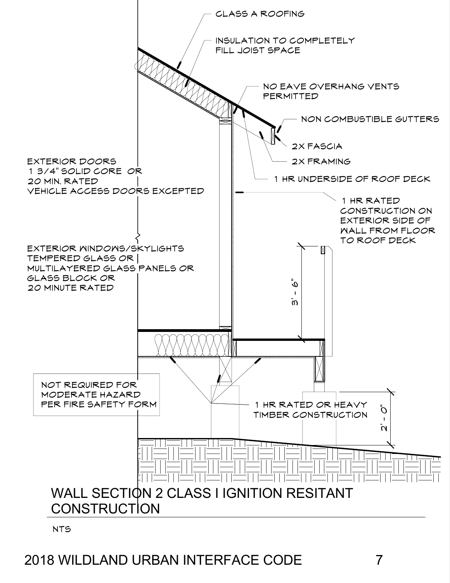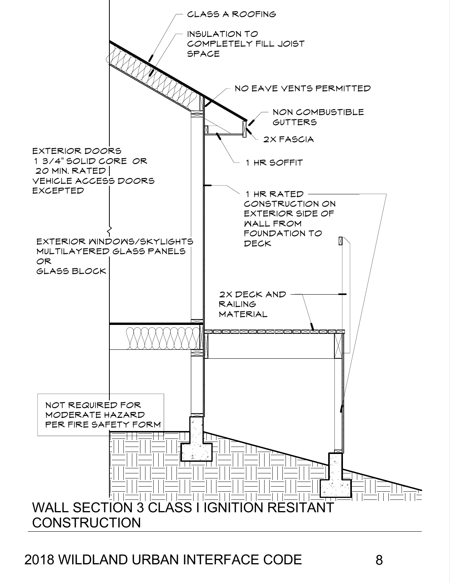

2018 WILDLAND URBAN INTERFACE CODE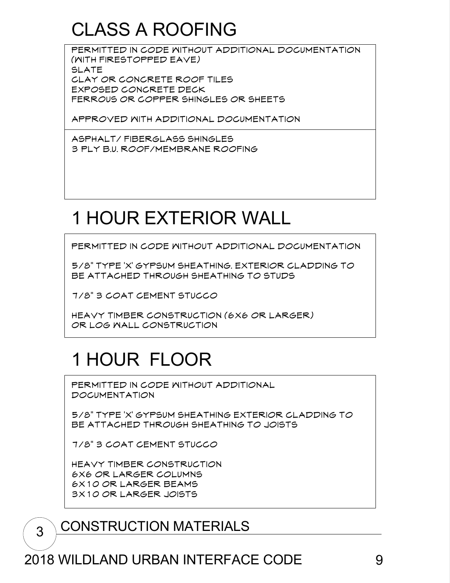# CLASS A ROOFING

PERMITTED IN CODE WITHOUT ADDITIONAL DOCUMENTATION (WITH FIRESTOPPED EAVE) SLATE CLAY OR CONCRETE ROOF TILES EXPOSED CONCRETE DECK FERROUS OR COPPER SHINGLES OR SHEETS

APPROVED WITH ADDITIONAL DOCUMENTATION

ASPHALT/ FIBERGLASS SHINGLES 3 PLY B.U. ROOF/MEMBRANE ROOFING

# 1 HOUR EXTERIOR WALL

PERMITTED IN CODE WITHOUT ADDITIONAL DOCUMENTATION

5/8" TYPE 'X' GYPSUM SHEATHING. EXTERIOR CLADDING TO BE ATTACHED THROUGH SHEATHING TO STUDS

7/8" 3 COAT CEMENT STUCCO

HEAVY TIMBER CONSTRUCTION (6X6 OR LARGER) OR LOG WALL CONSTRUCTION

# 1 HOUR FLOOR

PERMITTED IN CODE MITHOUT ADDITIONAL

DOCUMENTATION

5/8" TYPE 'X' GYPSUM SHEATHING EXTERIOR CLADDING TO BE ATTACHED THROUGH SHEATHING TO JOISTS

7/8" 3 COAT CEMENT STUCCO

HEAVY TIMBER CONSTRUCTION 6X6 OR LARGER COLUMNS 6X10 OR LARGER BEAMS 3X10 OR LARGER JOISTS

## 3 CONSTRUCTION MATERIALS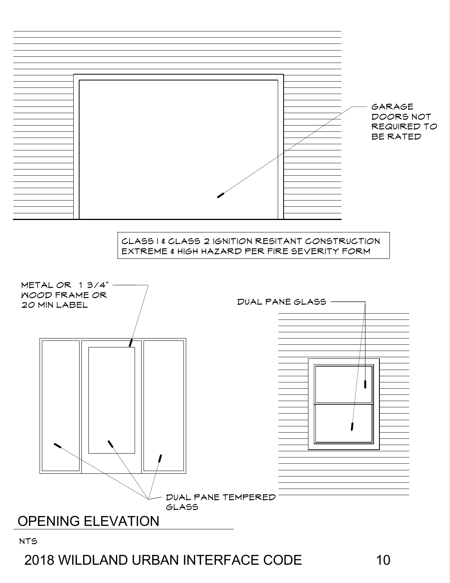### NTS



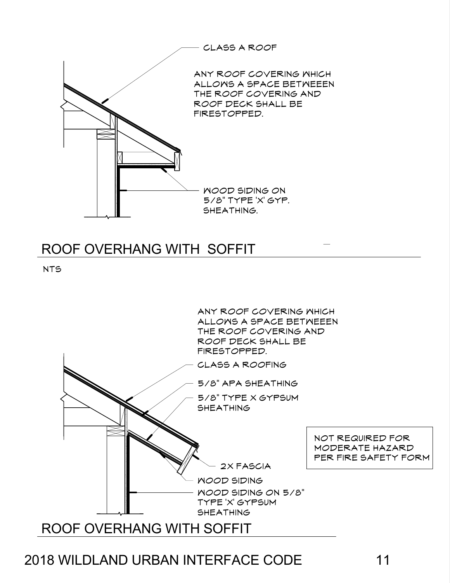

## ROOF OVERHANG WITH SOFFIT

NTS

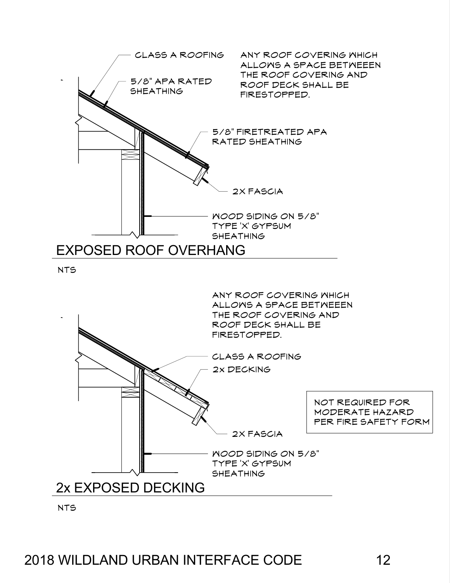



NTS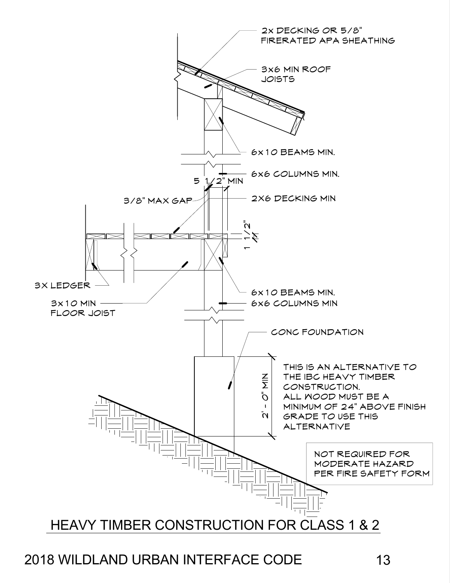